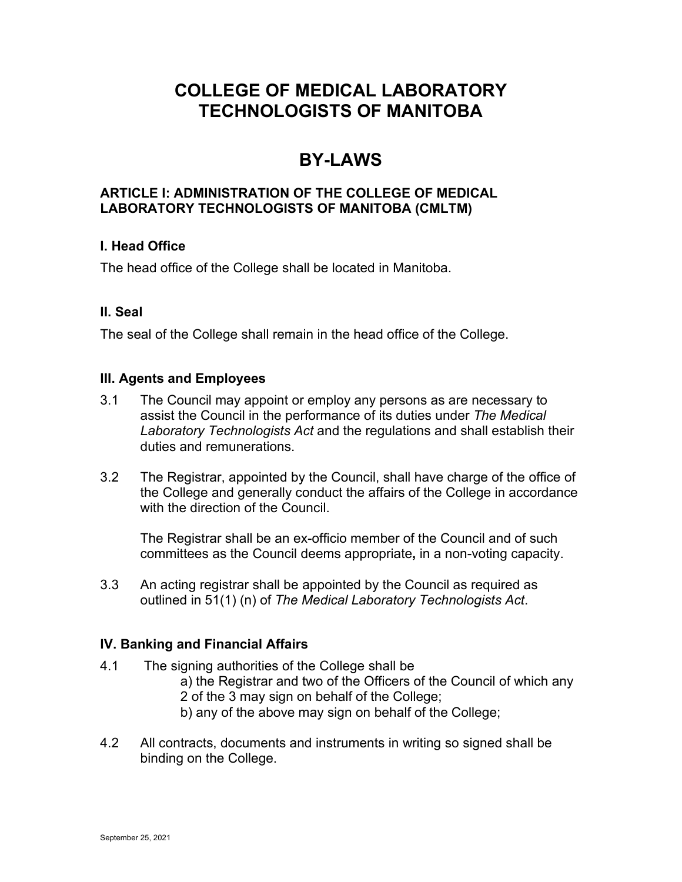# **COLLEGE OF MEDICAL LABORATORY TECHNOLOGISTS OF MANITOBA**

# **BY-LAWS**

### **ARTICLE I: ADMINISTRATION OF THE COLLEGE OF MEDICAL LABORATORY TECHNOLOGISTS OF MANITOBA (CMLTM)**

# **I. Head Office**

The head office of the College shall be located in Manitoba.

# **II. Seal**

The seal of the College shall remain in the head office of the College.

### **III. Agents and Employees**

- 3.1 The Council may appoint or employ any persons as are necessary to assist the Council in the performance of its duties under *The Medical Laboratory Technologists Act* and the regulations and shall establish their duties and remunerations.
- 3.2 The Registrar, appointed by the Council, shall have charge of the office of the College and generally conduct the affairs of the College in accordance with the direction of the Council.

The Registrar shall be an ex-officio member of the Council and of such committees as the Council deems appropriate**,** in a non-voting capacity.

3.3 An acting registrar shall be appointed by the Council as required as outlined in 51(1) (n) of *The Medical Laboratory Technologists Act*.

### **IV. Banking and Financial Affairs**

- 4.1 The signing authorities of the College shall be a) the Registrar and two of the Officers of the Council of which any 2 of the 3 may sign on behalf of the College; b) any of the above may sign on behalf of the College;
- 4.2 All contracts, documents and instruments in writing so signed shall be binding on the College.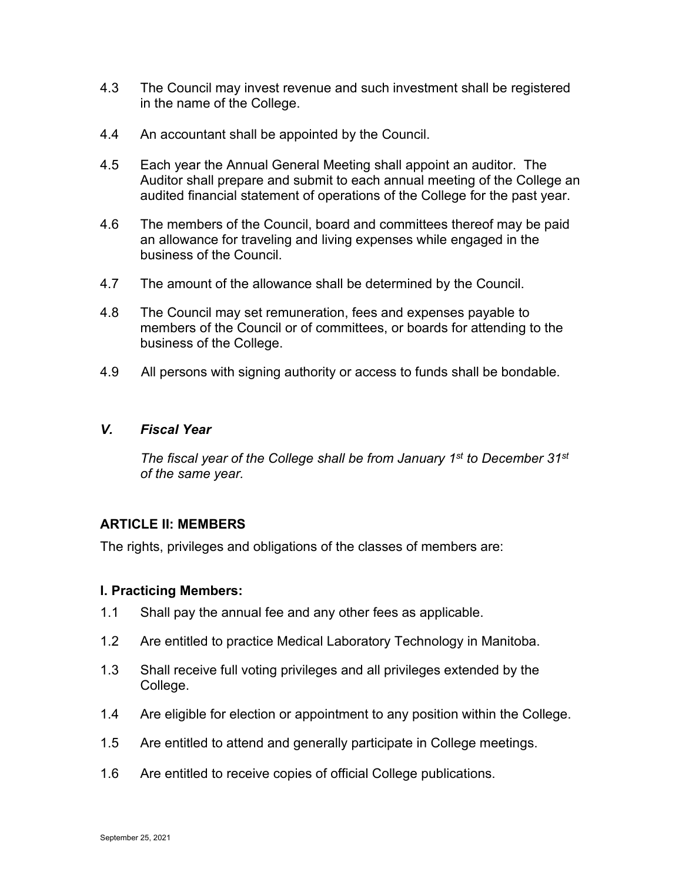- 4.3 The Council may invest revenue and such investment shall be registered in the name of the College.
- 4.4 An accountant shall be appointed by the Council.
- 4.5 Each year the Annual General Meeting shall appoint an auditor. The Auditor shall prepare and submit to each annual meeting of the College an audited financial statement of operations of the College for the past year.
- 4.6 The members of the Council, board and committees thereof may be paid an allowance for traveling and living expenses while engaged in the business of the Council.
- 4.7 The amount of the allowance shall be determined by the Council.
- 4.8 The Council may set remuneration, fees and expenses payable to members of the Council or of committees, or boards for attending to the business of the College.
- 4.9 All persons with signing authority or access to funds shall be bondable.

#### *V. Fiscal Year*

*The fiscal year of the College shall be from January 1st to December 31st of the same year.*

### **ARTICLE II: MEMBERS**

The rights, privileges and obligations of the classes of members are:

### **I. Practicing Members:**

- 1.1 Shall pay the annual fee and any other fees as applicable.
- 1.2 Are entitled to practice Medical Laboratory Technology in Manitoba.
- 1.3 Shall receive full voting privileges and all privileges extended by the College.
- 1.4 Are eligible for election or appointment to any position within the College.
- 1.5 Are entitled to attend and generally participate in College meetings.
- 1.6 Are entitled to receive copies of official College publications.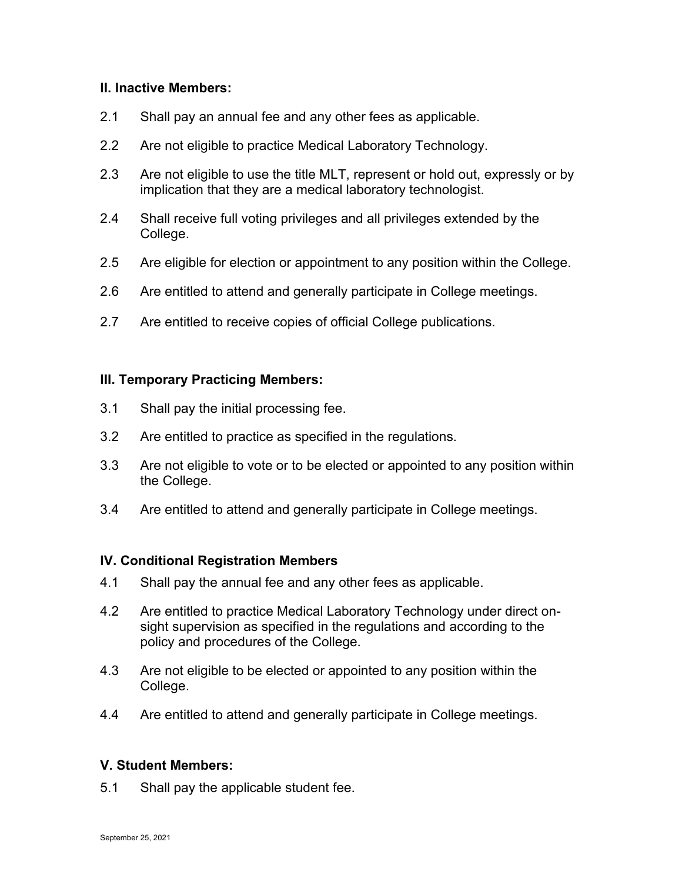#### **II. Inactive Members:**

- 2.1 Shall pay an annual fee and any other fees as applicable.
- 2.2 Are not eligible to practice Medical Laboratory Technology.
- 2.3 Are not eligible to use the title MLT, represent or hold out, expressly or by implication that they are a medical laboratory technologist.
- 2.4 Shall receive full voting privileges and all privileges extended by the College.
- 2.5 Are eligible for election or appointment to any position within the College.
- 2.6 Are entitled to attend and generally participate in College meetings.
- 2.7 Are entitled to receive copies of official College publications.

#### **III. Temporary Practicing Members:**

- 3.1 Shall pay the initial processing fee.
- 3.2 Are entitled to practice as specified in the regulations.
- 3.3 Are not eligible to vote or to be elected or appointed to any position within the College.
- 3.4 Are entitled to attend and generally participate in College meetings.

#### **IV. Conditional Registration Members**

- 4.1 Shall pay the annual fee and any other fees as applicable.
- 4.2 Are entitled to practice Medical Laboratory Technology under direct onsight supervision as specified in the regulations and according to the policy and procedures of the College.
- 4.3 Are not eligible to be elected or appointed to any position within the College.
- 4.4 Are entitled to attend and generally participate in College meetings.

#### **V. Student Members:**

5.1 Shall pay the applicable student fee.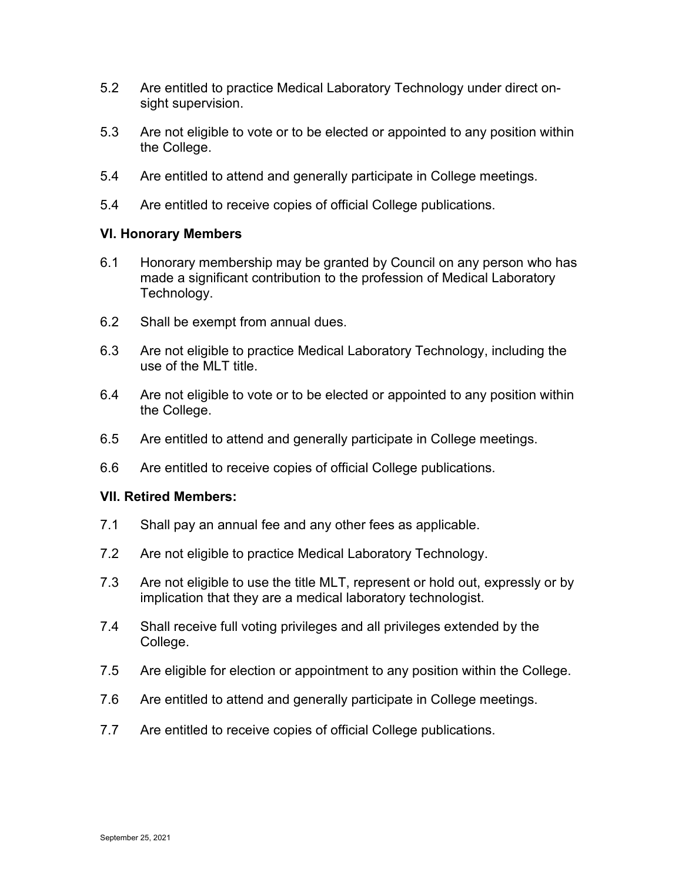- 5.2 Are entitled to practice Medical Laboratory Technology under direct onsight supervision.
- 5.3 Are not eligible to vote or to be elected or appointed to any position within the College.
- 5.4 Are entitled to attend and generally participate in College meetings.
- 5.4 Are entitled to receive copies of official College publications.

### **VI. Honorary Members**

- 6.1 Honorary membership may be granted by Council on any person who has made a significant contribution to the profession of Medical Laboratory Technology.
- 6.2 Shall be exempt from annual dues.
- 6.3 Are not eligible to practice Medical Laboratory Technology, including the use of the MLT title.
- 6.4 Are not eligible to vote or to be elected or appointed to any position within the College.
- 6.5 Are entitled to attend and generally participate in College meetings.
- 6.6 Are entitled to receive copies of official College publications.

### **VII. Retired Members:**

- 7.1 Shall pay an annual fee and any other fees as applicable.
- 7.2 Are not eligible to practice Medical Laboratory Technology.
- 7.3 Are not eligible to use the title MLT, represent or hold out, expressly or by implication that they are a medical laboratory technologist.
- 7.4 Shall receive full voting privileges and all privileges extended by the College.
- 7.5 Are eligible for election or appointment to any position within the College.
- 7.6 Are entitled to attend and generally participate in College meetings.
- 7.7 Are entitled to receive copies of official College publications.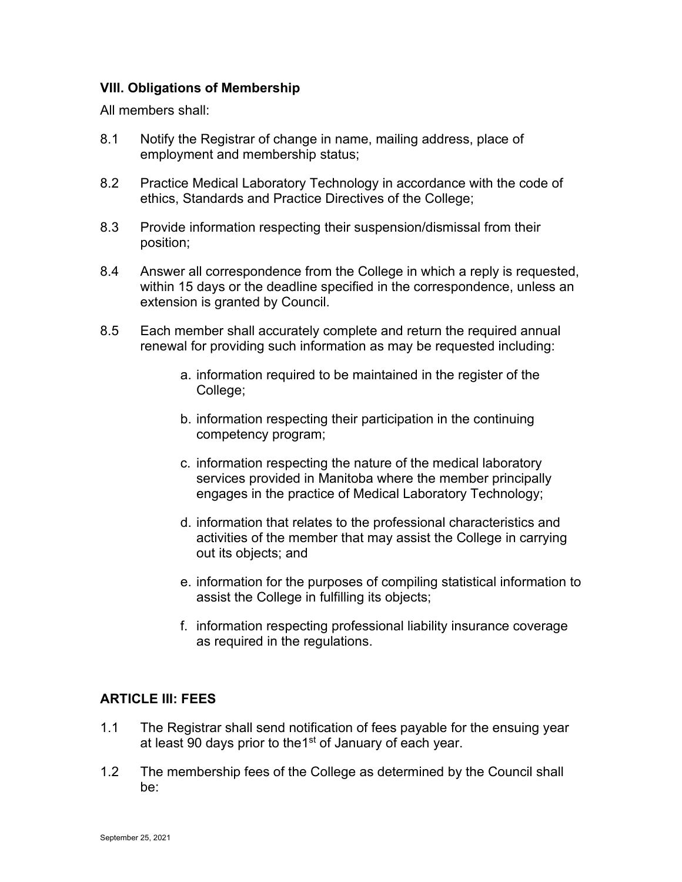## **VIII. Obligations of Membership**

All members shall:

- 8.1 Notify the Registrar of change in name, mailing address, place of employment and membership status;
- 8.2 Practice Medical Laboratory Technology in accordance with the code of ethics, Standards and Practice Directives of the College;
- 8.3 Provide information respecting their suspension/dismissal from their position;
- 8.4 Answer all correspondence from the College in which a reply is requested, within 15 days or the deadline specified in the correspondence, unless an extension is granted by Council.
- 8.5 Each member shall accurately complete and return the required annual renewal for providing such information as may be requested including:
	- a. information required to be maintained in the register of the College;
	- b. information respecting their participation in the continuing competency program;
	- c. information respecting the nature of the medical laboratory services provided in Manitoba where the member principally engages in the practice of Medical Laboratory Technology;
	- d. information that relates to the professional characteristics and activities of the member that may assist the College in carrying out its objects; and
	- e. information for the purposes of compiling statistical information to assist the College in fulfilling its objects;
	- f. information respecting professional liability insurance coverage as required in the regulations.

# **ARTICLE III: FEES**

- 1.1 The Registrar shall send notification of fees payable for the ensuing year at least 90 days prior to the 1<sup>st</sup> of January of each year.
- 1.2 The membership fees of the College as determined by the Council shall be: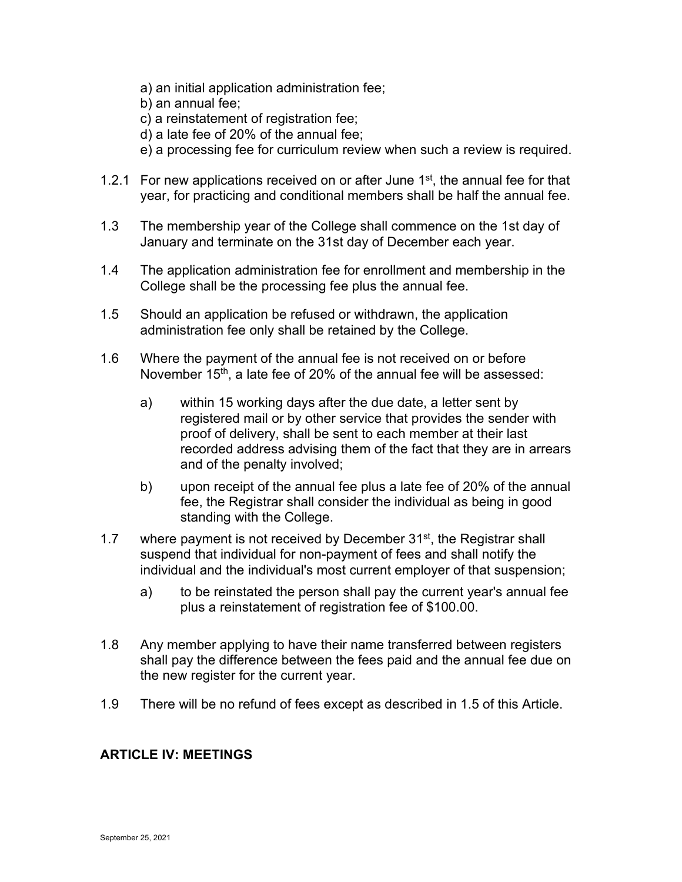- a) an initial application administration fee;
- b) an annual fee;
- c) a reinstatement of registration fee;
- d) a late fee of 20% of the annual fee;
- e) a processing fee for curriculum review when such a review is required.
- 1.2.1 For new applications received on or after June  $1<sup>st</sup>$ , the annual fee for that year, for practicing and conditional members shall be half the annual fee.
- 1.3 The membership year of the College shall commence on the 1st day of January and terminate on the 31st day of December each year.
- 1.4 The application administration fee for enrollment and membership in the College shall be the processing fee plus the annual fee.
- 1.5 Should an application be refused or withdrawn, the application administration fee only shall be retained by the College.
- 1.6 Where the payment of the annual fee is not received on or before November 15<sup>th</sup>, a late fee of 20% of the annual fee will be assessed:
	- a) within 15 working days after the due date, a letter sent by registered mail or by other service that provides the sender with proof of delivery, shall be sent to each member at their last recorded address advising them of the fact that they are in arrears and of the penalty involved;
	- b) upon receipt of the annual fee plus a late fee of 20% of the annual fee, the Registrar shall consider the individual as being in good standing with the College.
- 1.7 where payment is not received by December  $31<sup>st</sup>$ , the Registrar shall suspend that individual for non-payment of fees and shall notify the individual and the individual's most current employer of that suspension;
	- a) to be reinstated the person shall pay the current year's annual fee plus a reinstatement of registration fee of \$100.00.
- 1.8 Any member applying to have their name transferred between registers shall pay the difference between the fees paid and the annual fee due on the new register for the current year.
- 1.9 There will be no refund of fees except as described in 1.5 of this Article.

## **ARTICLE IV: MEETINGS**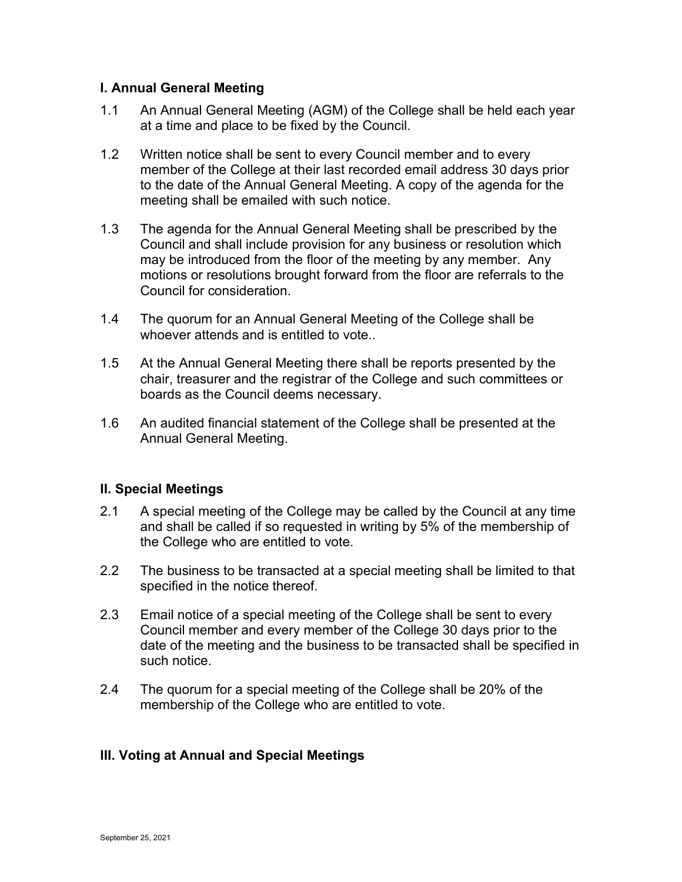### **I. Annual General Meeting**

- 1.1 An Annual General Meeting (AGM) of the College shall be held each year at a time and place to be fixed by the Council.
- 1.2 Written notice shall be sent to every Council member and to every member of the College at their last recorded email address 30 days prior to the date of the Annual General Meeting. A copy of the agenda for the meeting shall be emailed with such notice.
- 1.3 The agenda for the Annual General Meeting shall be prescribed by the Council and shall include provision for any business or resolution which may be introduced from the floor of the meeting by any member. Any motions or resolutions brought forward from the floor are referrals to the Council for consideration.
- 1.4 The quorum for an Annual General Meeting of the College shall be whoever attends and is entitled to vote..
- 1.5 At the Annual General Meeting there shall be reports presented by the chair, treasurer and the registrar of the College and such committees or boards as the Council deems necessary.
- 1.6 An audited financial statement of the College shall be presented at the Annual General Meeting.

### **II. Special Meetings**

- 2.1 A special meeting of the College may be called by the Council at any time and shall be called if so requested in writing by 5% of the membership of the College who are entitled to vote.
- 2.2 The business to be transacted at a special meeting shall be limited to that specified in the notice thereof.
- 2.3 Email notice of a special meeting of the College shall be sent to every Council member and every member of the College 30 days prior to the date of the meeting and the business to be transacted shall be specified in such notice.
- 2.4 The quorum for a special meeting of the College shall be 20% of the membership of the College who are entitled to vote.

### **III. Voting at Annual and Special Meetings**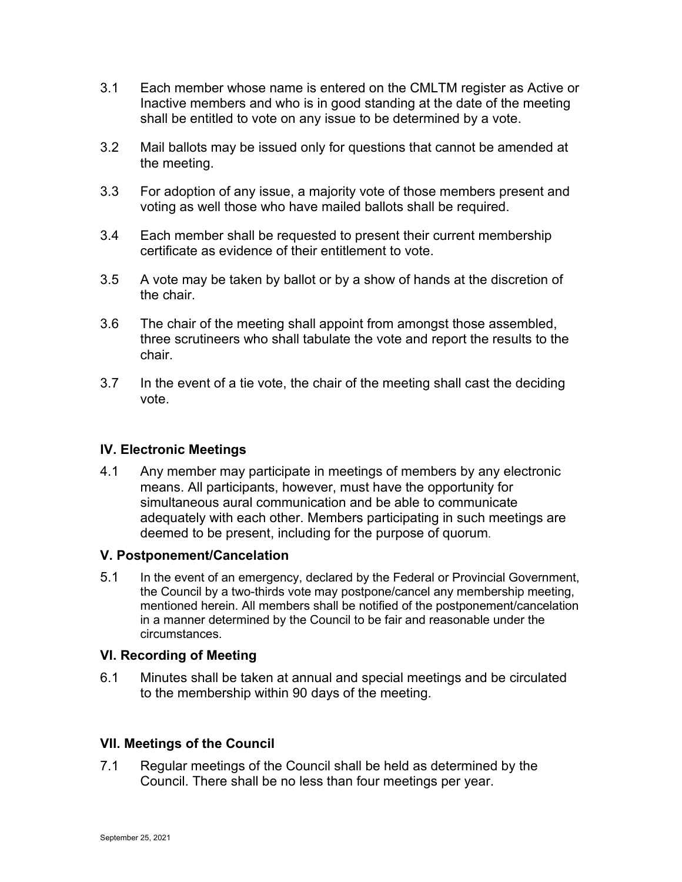- 3.1 Each member whose name is entered on the CMLTM register as Active or Inactive members and who is in good standing at the date of the meeting shall be entitled to vote on any issue to be determined by a vote.
- 3.2 Mail ballots may be issued only for questions that cannot be amended at the meeting.
- 3.3 For adoption of any issue, a majority vote of those members present and voting as well those who have mailed ballots shall be required.
- 3.4 Each member shall be requested to present their current membership certificate as evidence of their entitlement to vote.
- 3.5 A vote may be taken by ballot or by a show of hands at the discretion of the chair.
- 3.6 The chair of the meeting shall appoint from amongst those assembled, three scrutineers who shall tabulate the vote and report the results to the chair.
- 3.7 In the event of a tie vote, the chair of the meeting shall cast the deciding vote.

### **IV. Electronic Meetings**

4.1 Any member may participate in meetings of members by any electronic means. All participants, however, must have the opportunity for simultaneous aural communication and be able to communicate adequately with each other. Members participating in such meetings are deemed to be present, including for the purpose of quorum.

### **V. Postponement/Cancelation**

5.1 In the event of an emergency, declared by the Federal or Provincial Government, the Council by a two-thirds vote may postpone/cancel any membership meeting, mentioned herein. All members shall be notified of the postponement/cancelation in a manner determined by the Council to be fair and reasonable under the circumstances.

### **VI. Recording of Meeting**

6.1 Minutes shall be taken at annual and special meetings and be circulated to the membership within 90 days of the meeting.

### **VII. Meetings of the Council**

7.1 Regular meetings of the Council shall be held as determined by the Council. There shall be no less than four meetings per year.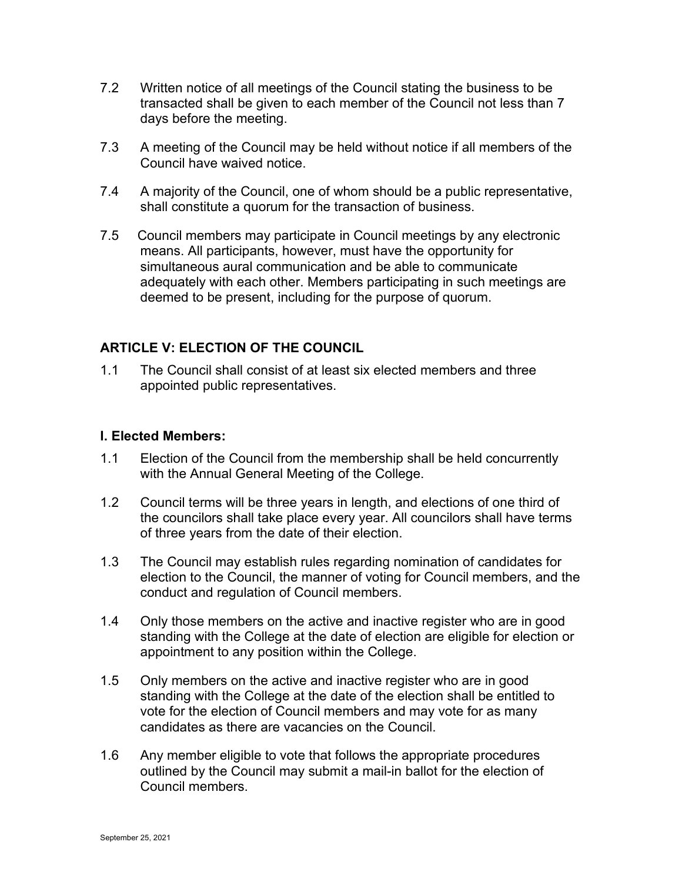- 7.2 Written notice of all meetings of the Council stating the business to be transacted shall be given to each member of the Council not less than 7 days before the meeting.
- 7.3 A meeting of the Council may be held without notice if all members of the Council have waived notice.
- 7.4 A majority of the Council, one of whom should be a public representative, shall constitute a quorum for the transaction of business.
- 7.5 Council members may participate in Council meetings by any electronic means. All participants, however, must have the opportunity for simultaneous aural communication and be able to communicate adequately with each other. Members participating in such meetings are deemed to be present, including for the purpose of quorum.

# **ARTICLE V: ELECTION OF THE COUNCIL**

1.1 The Council shall consist of at least six elected members and three appointed public representatives.

#### **I. Elected Members:**

- 1.1 Election of the Council from the membership shall be held concurrently with the Annual General Meeting of the College.
- 1.2 Council terms will be three years in length, and elections of one third of the councilors shall take place every year. All councilors shall have terms of three years from the date of their election.
- 1.3 The Council may establish rules regarding nomination of candidates for election to the Council, the manner of voting for Council members, and the conduct and regulation of Council members.
- 1.4 Only those members on the active and inactive register who are in good standing with the College at the date of election are eligible for election or appointment to any position within the College.
- 1.5 Only members on the active and inactive register who are in good standing with the College at the date of the election shall be entitled to vote for the election of Council members and may vote for as many candidates as there are vacancies on the Council.
- 1.6 Any member eligible to vote that follows the appropriate procedures outlined by the Council may submit a mail-in ballot for the election of Council members.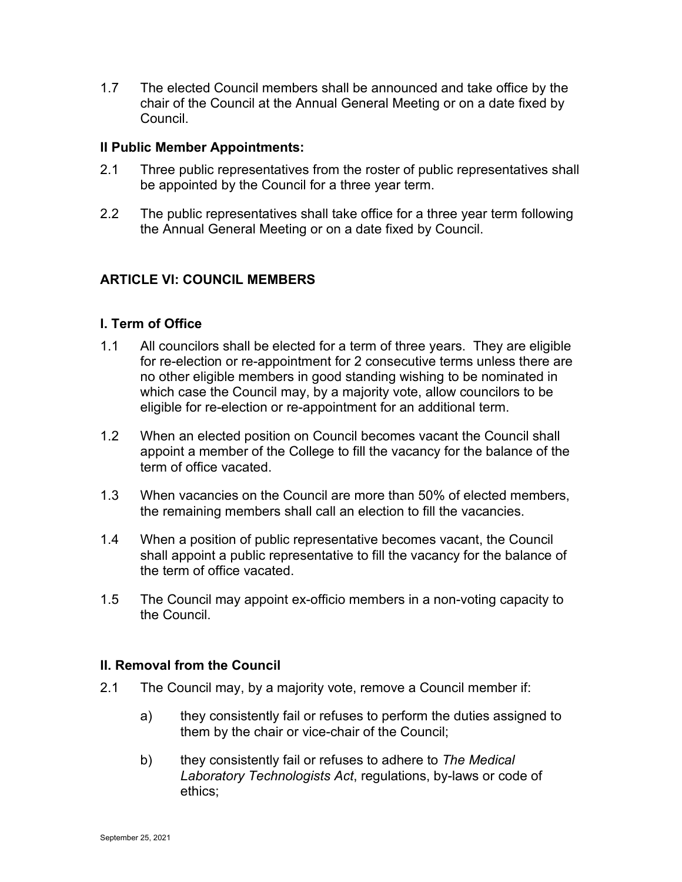1.7 The elected Council members shall be announced and take office by the chair of the Council at the Annual General Meeting or on a date fixed by Council.

#### **II Public Member Appointments:**

- 2.1 Three public representatives from the roster of public representatives shall be appointed by the Council for a three year term.
- 2.2 The public representatives shall take office for a three year term following the Annual General Meeting or on a date fixed by Council.

# **ARTICLE VI: COUNCIL MEMBERS**

#### **I. Term of Office**

- 1.1 All councilors shall be elected for a term of three years. They are eligible for re-election or re-appointment for 2 consecutive terms unless there are no other eligible members in good standing wishing to be nominated in which case the Council may, by a majority vote, allow councilors to be eligible for re-election or re-appointment for an additional term.
- 1.2 When an elected position on Council becomes vacant the Council shall appoint a member of the College to fill the vacancy for the balance of the term of office vacated.
- 1.3 When vacancies on the Council are more than 50% of elected members, the remaining members shall call an election to fill the vacancies.
- 1.4 When a position of public representative becomes vacant, the Council shall appoint a public representative to fill the vacancy for the balance of the term of office vacated.
- 1.5 The Council may appoint ex-officio members in a non-voting capacity to the Council.

#### **II. Removal from the Council**

- 2.1 The Council may, by a majority vote, remove a Council member if:
	- a) they consistently fail or refuses to perform the duties assigned to them by the chair or vice-chair of the Council;
	- b) they consistently fail or refuses to adhere to *The Medical Laboratory Technologists Act*, regulations, by-laws or code of ethics;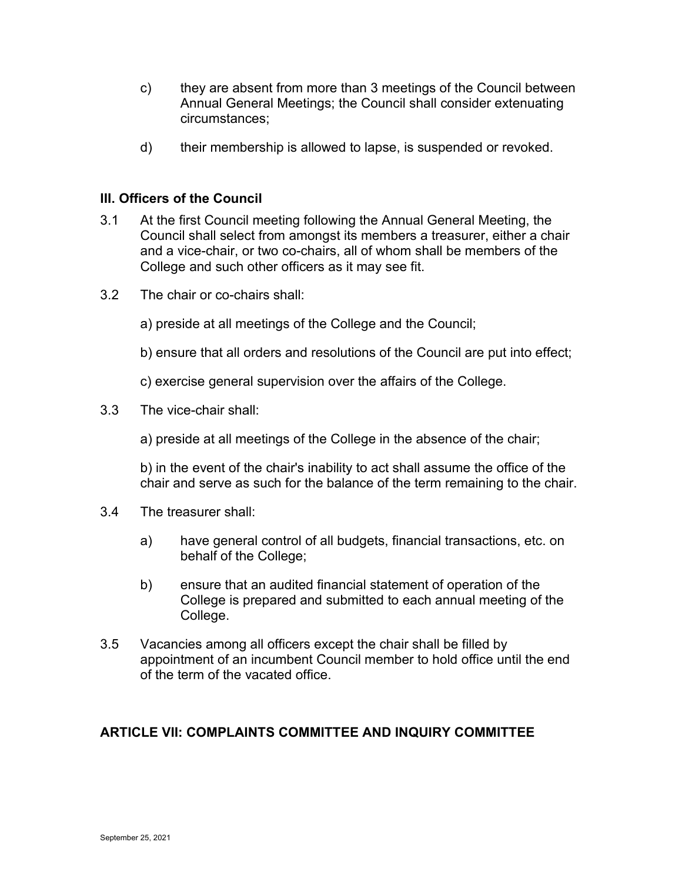- c) they are absent from more than 3 meetings of the Council between Annual General Meetings; the Council shall consider extenuating circumstances;
- d) their membership is allowed to lapse, is suspended or revoked.

# **III. Officers of the Council**

- 3.1 At the first Council meeting following the Annual General Meeting, the Council shall select from amongst its members a treasurer, either a chair and a vice-chair, or two co-chairs, all of whom shall be members of the College and such other officers as it may see fit.
- 3.2 The chair or co-chairs shall:
	- a) preside at all meetings of the College and the Council;
	- b) ensure that all orders and resolutions of the Council are put into effect;
	- c) exercise general supervision over the affairs of the College.
- 3.3 The vice-chair shall:
	- a) preside at all meetings of the College in the absence of the chair;

b) in the event of the chair's inability to act shall assume the office of the chair and serve as such for the balance of the term remaining to the chair.

- 3.4 The treasurer shall:
	- a) have general control of all budgets, financial transactions, etc. on behalf of the College;
	- b) ensure that an audited financial statement of operation of the College is prepared and submitted to each annual meeting of the College.
- 3.5 Vacancies among all officers except the chair shall be filled by appointment of an incumbent Council member to hold office until the end of the term of the vacated office.

# **ARTICLE VII: COMPLAINTS COMMITTEE AND INQUIRY COMMITTEE**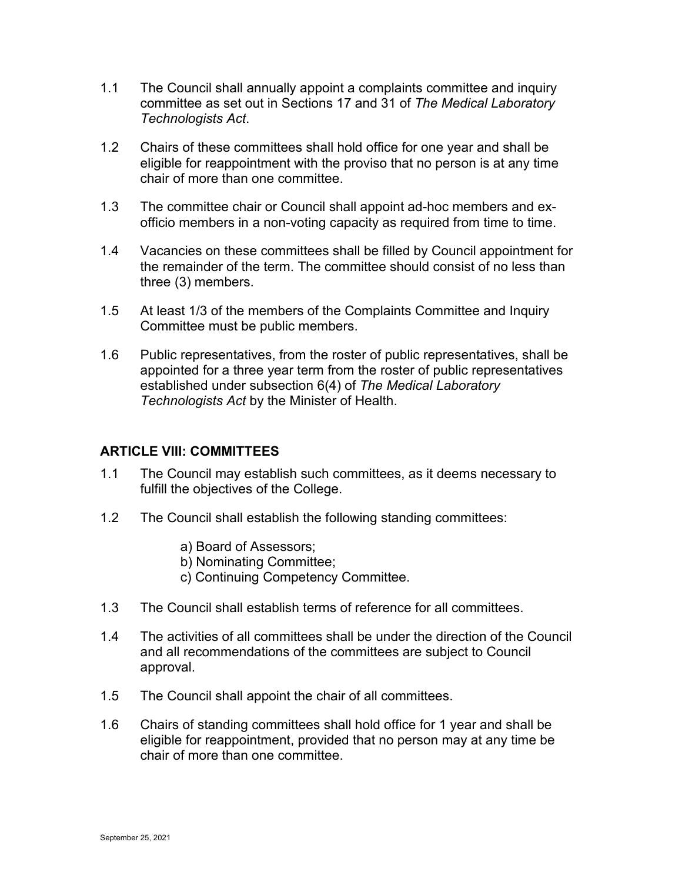- 1.1 The Council shall annually appoint a complaints committee and inquiry committee as set out in Sections 17 and 31 of *The Medical Laboratory Technologists Act*.
- 1.2 Chairs of these committees shall hold office for one year and shall be eligible for reappointment with the proviso that no person is at any time chair of more than one committee.
- 1.3 The committee chair or Council shall appoint ad-hoc members and exofficio members in a non-voting capacity as required from time to time.
- 1.4 Vacancies on these committees shall be filled by Council appointment for the remainder of the term. The committee should consist of no less than three (3) members.
- 1.5 At least 1/3 of the members of the Complaints Committee and Inquiry Committee must be public members.
- 1.6 Public representatives, from the roster of public representatives, shall be appointed for a three year term from the roster of public representatives established under subsection 6(4) of *The Medical Laboratory Technologists Act* by the Minister of Health.

### **ARTICLE VIII: COMMITTEES**

- 1.1 The Council may establish such committees, as it deems necessary to fulfill the objectives of the College.
- 1.2 The Council shall establish the following standing committees:
	- a) Board of Assessors;
	- b) Nominating Committee;
	- c) Continuing Competency Committee.
- 1.3 The Council shall establish terms of reference for all committees.
- 1.4 The activities of all committees shall be under the direction of the Council and all recommendations of the committees are subject to Council approval.
- 1.5 The Council shall appoint the chair of all committees.
- 1.6 Chairs of standing committees shall hold office for 1 year and shall be eligible for reappointment, provided that no person may at any time be chair of more than one committee.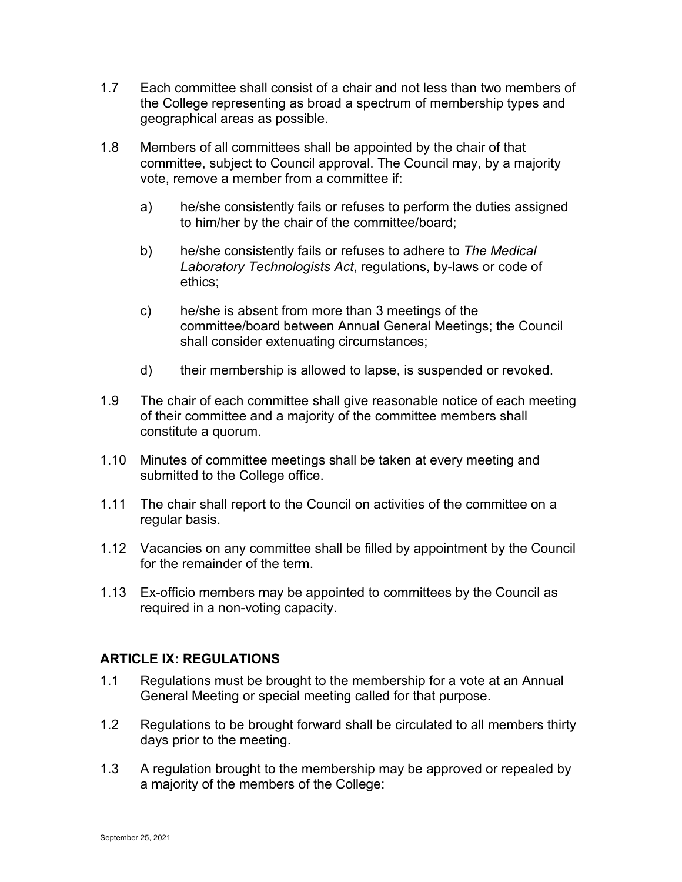- 1.7 Each committee shall consist of a chair and not less than two members of the College representing as broad a spectrum of membership types and geographical areas as possible.
- 1.8 Members of all committees shall be appointed by the chair of that committee, subject to Council approval. The Council may, by a majority vote, remove a member from a committee if:
	- a) he/she consistently fails or refuses to perform the duties assigned to him/her by the chair of the committee/board;
	- b) he/she consistently fails or refuses to adhere to *The Medical Laboratory Technologists Act*, regulations, by-laws or code of ethics;
	- c) he/she is absent from more than 3 meetings of the committee/board between Annual General Meetings; the Council shall consider extenuating circumstances;
	- d) their membership is allowed to lapse, is suspended or revoked.
- 1.9 The chair of each committee shall give reasonable notice of each meeting of their committee and a majority of the committee members shall constitute a quorum.
- 1.10 Minutes of committee meetings shall be taken at every meeting and submitted to the College office.
- 1.11 The chair shall report to the Council on activities of the committee on a regular basis.
- 1.12 Vacancies on any committee shall be filled by appointment by the Council for the remainder of the term.
- 1.13 Ex-officio members may be appointed to committees by the Council as required in a non-voting capacity.

### **ARTICLE IX: REGULATIONS**

- 1.1 Regulations must be brought to the membership for a vote at an Annual General Meeting or special meeting called for that purpose.
- 1.2 Regulations to be brought forward shall be circulated to all members thirty days prior to the meeting.
- 1.3 A regulation brought to the membership may be approved or repealed by a majority of the members of the College: